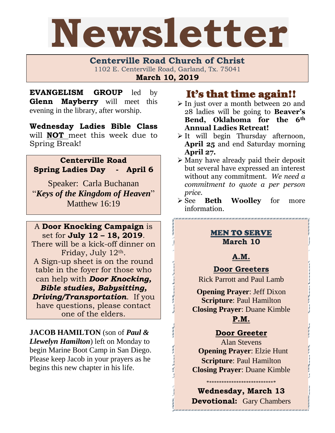

**Centerville Road Church of Christ**  1102 E. Centerville Road, Garland, Tx. 75041 **March 10, 2019**

**EVANGELISM GROUP** led by **Glenn Mayberry** will meet this evening in the library, after worship.

**Wednesday Ladies Bible Class** will **NOT** meet this week due to Spring Break!

# **Centerville Road Spring Ladies Day - April 6**

Speaker: Carla Buchanan "*Keys of the Kingdom of Heaven*" Matthew 16:19

A **Door Knocking Campaign** is set for **July 12 – 18, 2019**. There will be a kick-off dinner on Friday, July 12th. A Sign-up sheet is on the round table in the foyer for those who can help with *Door Knocking, Bible studies, Babysitting, Driving/Transportation*. If you have questions, please contact one of the elders.

**JACOB HAMILTON** (son of *Paul & Llewelyn Hamilton*) left on Monday to begin Marine Boot Camp in San Diego. Please keep Jacob in your prayers as he begins this new chapter in his life.

# It's that time again!!

- ➢ In just over a month between 20 and 28 ladies will be going to **Beaver's Bend, Oklahoma for the 6th Annual Ladies Retreat!**
- $\triangleright$  It will begin Thursday afternoon, **April 25** and end Saturday morning **April 27.**
- ➢ Many have already paid their deposit but several have expressed an interest without any commitment. *We need a commitment to quote a per person price.*
- ➢ See **Beth Woolley** for more information.

### MEN TO SERVE **March 10**

# **A.M.**

# **Door Greeters**

Rick Parrott and Paul Lamb

**Opening Prayer**: Jeff Dixon **Scripture**: Paul Hamilton **Closing Prayer**: Duane Kimble

# **P.M.**

# **Door Greeter**

Alan Stevens **Opening Prayer**: Elzie Hunt **Scripture**: Paul Hamilton **Closing Prayer**: Duane Kimble

**Wednesday, March 13 Devotional:** Gary Chambers

.<br>The completion completion contract material completion completion completion completion completion completion

\*\*\*\*\*\*\*\*\*\*\*\*\*\*\*\*\*\*\*\*\*\*\*\*\*\*\*\*